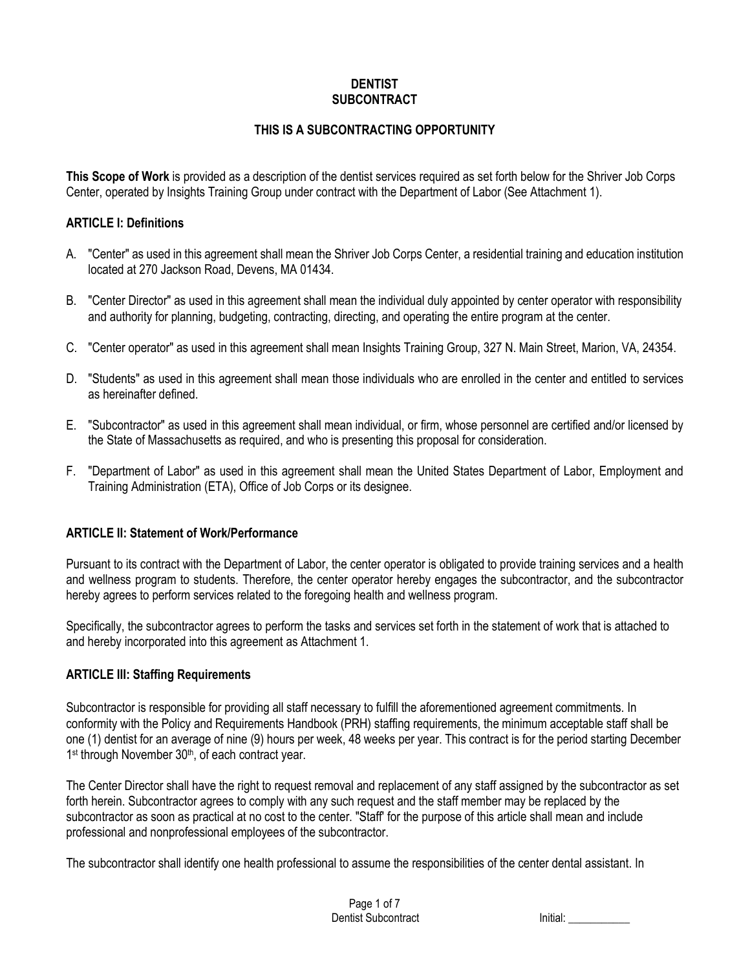#### **DENTIST SUBCONTRACT**

### **THIS IS A SUBCONTRACTING OPPORTUNITY**

**This Scope of Work** is provided as a description of the dentist services required as set forth below for the Shriver Job Corps Center, operated by Insights Training Group under contract with the Department of Labor (See Attachment 1).

#### **ARTICLE I: Definitions**

- A. "Center" as used in this agreement shall mean the Shriver Job Corps Center, a residential training and education institution located at 270 Jackson Road, Devens, MA 01434.
- B. "Center Director" as used in this agreement shall mean the individual duly appointed by center operator with responsibility and authority for planning, budgeting, contracting, directing, and operating the entire program at the center.
- C. "Center operator" as used in this agreement shall mean Insights Training Group, 327 N. Main Street, Marion, VA, 24354.
- D. "Students" as used in this agreement shall mean those individuals who are enrolled in the center and entitled to services as hereinafter defined.
- E. "Subcontractor" as used in this agreement shall mean individual, or firm, whose personnel are certified and/or licensed by the State of Massachusetts as required, and who is presenting this proposal for consideration.
- F. "Department of Labor" as used in this agreement shall mean the United States Department of Labor, Employment and Training Administration (ETA), Office of Job Corps or its designee.

#### **ARTICLE II: Statement of Work/Performance**

Pursuant to its contract with the Department of Labor, the center operator is obligated to provide training services and a health and wellness program to students. Therefore, the center operator hereby engages the subcontractor, and the subcontractor hereby agrees to perform services related to the foregoing health and wellness program.

Specifically, the subcontractor agrees to perform the tasks and services set forth in the statement of work that is attached to and hereby incorporated into this agreement as Attachment 1.

#### **ARTICLE III: Staffing Requirements**

Subcontractor is responsible for providing all staff necessary to fulfill the aforementioned agreement commitments. In conformity with the Policy and Requirements Handbook (PRH) staffing requirements, the minimum acceptable staff shall be one (1) dentist for an average of nine (9) hours per week, 48 weeks per year. This contract is for the period starting December 1<sup>st</sup> through November 30<sup>th</sup>, of each contract year.

The Center Director shall have the right to request removal and replacement of any staff assigned by the subcontractor as set forth herein. Subcontractor agrees to comply with any such request and the staff member may be replaced by the subcontractor as soon as practical at no cost to the center. "Staff' for the purpose of this article shall mean and include professional and nonprofessional employees of the subcontractor.

The subcontractor shall identify one health professional to assume the responsibilities of the center dental assistant. In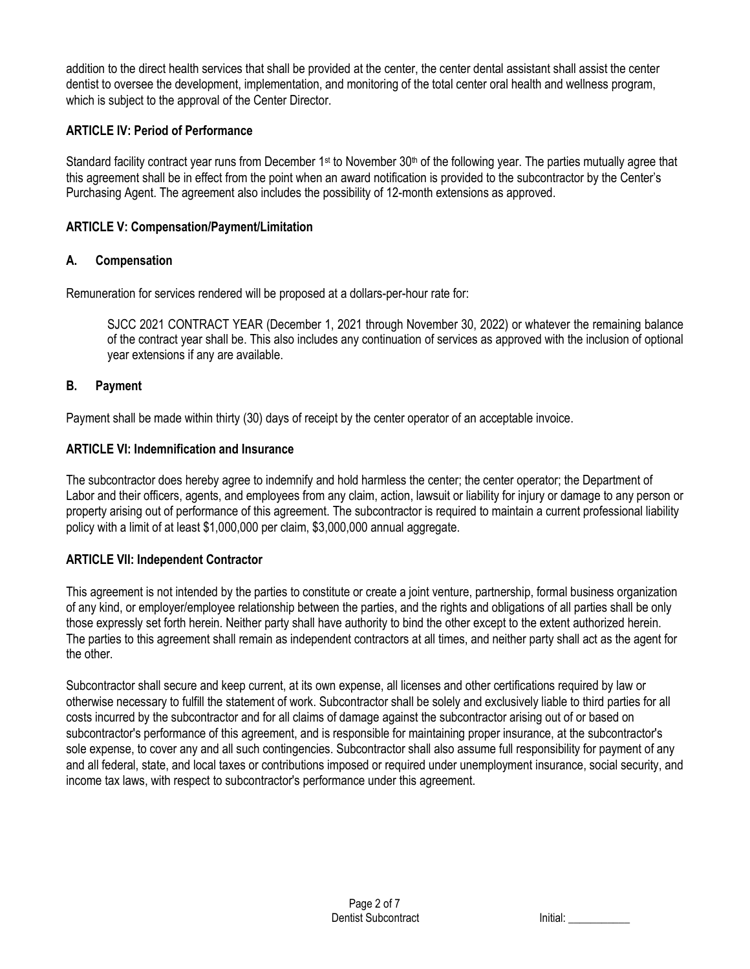addition to the direct health services that shall be provided at the center, the center dental assistant shall assist the center dentist to oversee the development, implementation, and monitoring of the total center oral health and wellness program, which is subject to the approval of the Center Director.

#### **ARTICLE IV: Period of Performance**

Standard facility contract year runs from December  $1<sup>st</sup>$  to November 30<sup>th</sup> of the following year. The parties mutually agree that this agreement shall be in effect from the point when an award notification is provided to the subcontractor by the Center's Purchasing Agent. The agreement also includes the possibility of 12-month extensions as approved.

#### **ARTICLE V: Compensation/Payment/Limitation**

#### **A. Compensation**

Remuneration for services rendered will be proposed at a dollars-per-hour rate for:

SJCC 2021 CONTRACT YEAR (December 1, 2021 through November 30, 2022) or whatever the remaining balance of the contract year shall be. This also includes any continuation of services as approved with the inclusion of optional year extensions if any are available.

### **B. Payment**

Payment shall be made within thirty (30) days of receipt by the center operator of an acceptable invoice.

#### **ARTICLE VI: Indemnification and Insurance**

The subcontractor does hereby agree to indemnify and hold harmless the center; the center operator; the Department of Labor and their officers, agents, and employees from any claim, action, lawsuit or liability for injury or damage to any person or property arising out of performance of this agreement. The subcontractor is required to maintain a current professional liability policy with a limit of at least \$1,000,000 per claim, \$3,000,000 annual aggregate.

#### **ARTICLE VII: Independent Contractor**

This agreement is not intended by the parties to constitute or create a joint venture, partnership, formal business organization of any kind, or employer/employee relationship between the parties, and the rights and obligations of all parties shall be only those expressly set forth herein. Neither party shall have authority to bind the other except to the extent authorized herein. The parties to this agreement shall remain as independent contractors at all times, and neither party shall act as the agent for the other.

Subcontractor shall secure and keep current, at its own expense, all licenses and other certifications required by law or otherwise necessary to fulfill the statement of work. Subcontractor shall be solely and exclusively liable to third parties for all costs incurred by the subcontractor and for all claims of damage against the subcontractor arising out of or based on subcontractor's performance of this agreement, and is responsible for maintaining proper insurance, at the subcontractor's sole expense, to cover any and all such contingencies. Subcontractor shall also assume full responsibility for payment of any and all federal, state, and local taxes or contributions imposed or required under unemployment insurance, social security, and income tax laws, with respect to subcontractor's performance under this agreement.

| Initial: |  |  |  |
|----------|--|--|--|
|          |  |  |  |
|          |  |  |  |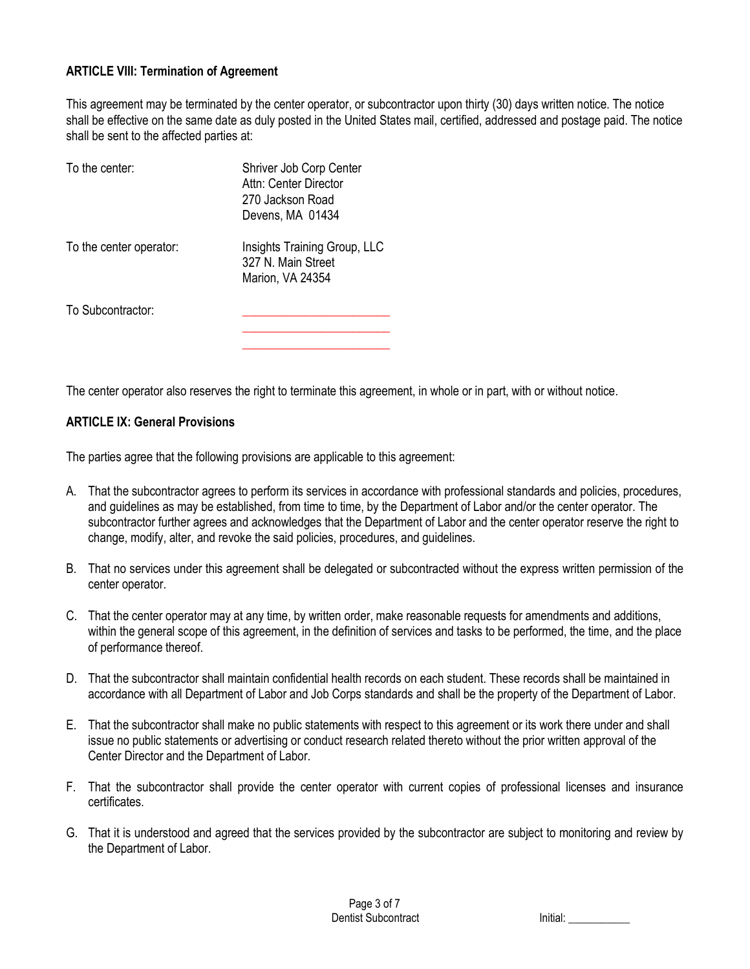#### **ARTICLE VIII: Termination of Agreement**

This agreement may be terminated by the center operator, or subcontractor upon thirty (30) days written notice. The notice shall be effective on the same date as duly posted in the United States mail, certified, addressed and postage paid. The notice shall be sent to the affected parties at:

| To the center:          | Shriver Job Corp Center<br>Attn: Center Director<br>270 Jackson Road<br>Devens, MA 01434 |
|-------------------------|------------------------------------------------------------------------------------------|
| To the center operator: | Insights Training Group, LLC<br>327 N. Main Street<br>Marion, VA 24354                   |
| To Subcontractor:       |                                                                                          |

The center operator also reserves the right to terminate this agreement, in whole or in part, with or without notice.

**\_\_\_\_\_\_\_\_\_\_\_\_\_\_\_\_\_\_\_\_\_\_\_\_**

#### **ARTICLE IX: General Provisions**

The parties agree that the following provisions are applicable to this agreement:

- A. That the subcontractor agrees to perform its services in accordance with professional standards and policies, procedures, and guidelines as may be established, from time to time, by the Department of Labor and/or the center operator. The subcontractor further agrees and acknowledges that the Department of Labor and the center operator reserve the right to change, modify, alter, and revoke the said policies, procedures, and guidelines.
- B. That no services under this agreement shall be delegated or subcontracted without the express written permission of the center operator.
- C. That the center operator may at any time, by written order, make reasonable requests for amendments and additions, within the general scope of this agreement, in the definition of services and tasks to be performed, the time, and the place of performance thereof.
- D. That the subcontractor shall maintain confidential health records on each student. These records shall be maintained in accordance with all Department of Labor and Job Corps standards and shall be the property of the Department of Labor.
- E. That the subcontractor shall make no public statements with respect to this agreement or its work there under and shall issue no public statements or advertising or conduct research related thereto without the prior written approval of the Center Director and the Department of Labor.
- F. That the subcontractor shall provide the center operator with current copies of professional licenses and insurance certificates.
- G. That it is understood and agreed that the services provided by the subcontractor are subject to monitoring and review by the Department of Labor.

Initial:  $\blacksquare$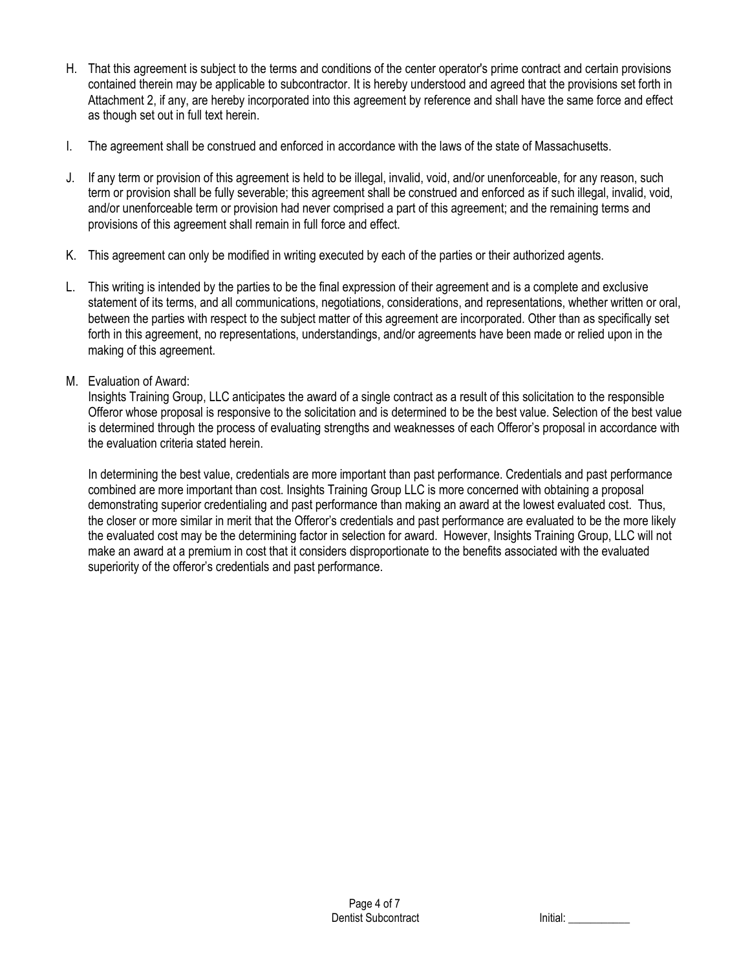- H. That this agreement is subject to the terms and conditions of the center operator's prime contract and certain provisions contained therein may be applicable to subcontractor. It is hereby understood and agreed that the provisions set forth in Attachment 2, if any, are hereby incorporated into this agreement by reference and shall have the same force and effect as though set out in full text herein.
- I. The agreement shall be construed and enforced in accordance with the laws of the state of Massachusetts.
- J. If any term or provision of this agreement is held to be illegal, invalid, void, and/or unenforceable, for any reason, such term or provision shall be fully severable; this agreement shall be construed and enforced as if such illegal, invalid, void, and/or unenforceable term or provision had never comprised a part of this agreement; and the remaining terms and provisions of this agreement shall remain in full force and effect.
- K. This agreement can only be modified in writing executed by each of the parties or their authorized agents.
- L. This writing is intended by the parties to be the final expression of their agreement and is a complete and exclusive statement of its terms, and all communications, negotiations, considerations, and representations, whether written or oral, between the parties with respect to the subject matter of this agreement are incorporated. Other than as specifically set forth in this agreement, no representations, understandings, and/or agreements have been made or relied upon in the making of this agreement.
- M. Evaluation of Award:

Insights Training Group, LLC anticipates the award of a single contract as a result of this solicitation to the responsible Offeror whose proposal is responsive to the solicitation and is determined to be the best value. Selection of the best value is determined through the process of evaluating strengths and weaknesses of each Offeror's proposal in accordance with the evaluation criteria stated herein.

In determining the best value, credentials are more important than past performance. Credentials and past performance combined are more important than cost. Insights Training Group LLC is more concerned with obtaining a proposal demonstrating superior credentialing and past performance than making an award at the lowest evaluated cost. Thus, the closer or more similar in merit that the Offeror's credentials and past performance are evaluated to be the more likely the evaluated cost may be the determining factor in selection for award. However, Insights Training Group, LLC will not make an award at a premium in cost that it considers disproportionate to the benefits associated with the evaluated superiority of the offeror's credentials and past performance.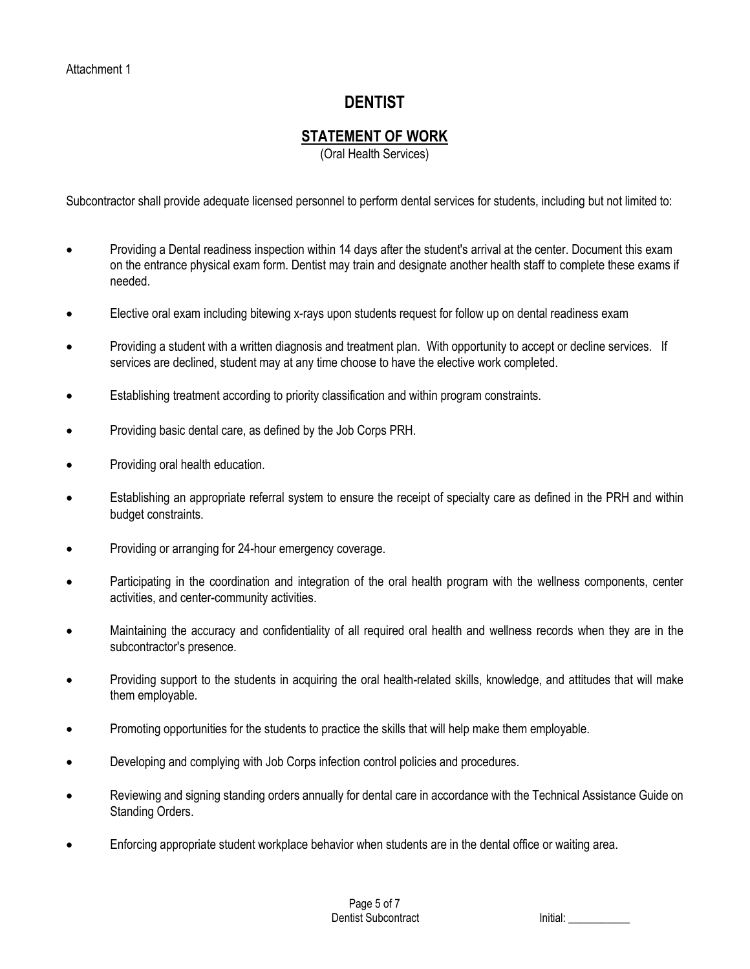# **DENTIST**

## **STATEMENT OF WORK**

(Oral Health Services)

Subcontractor shall provide adequate licensed personnel to perform dental services for students, including but not limited to:

- Providing a Dental readiness inspection within 14 days after the student's arrival at the center. Document this exam on the entrance physical exam form. Dentist may train and designate another health staff to complete these exams if needed.
- Elective oral exam including bitewing x-rays upon students request for follow up on dental readiness exam
- Providing a student with a written diagnosis and treatment plan. With opportunity to accept or decline services. If services are declined, student may at any time choose to have the elective work completed.
- Establishing treatment according to priority classification and within program constraints.
- Providing basic dental care, as defined by the Job Corps PRH.
- Providing oral health education.
- Establishing an appropriate referral system to ensure the receipt of specialty care as defined in the PRH and within budget constraints.
- Providing or arranging for 24-hour emergency coverage.
- Participating in the coordination and integration of the oral health program with the wellness components, center activities, and center-community activities.
- Maintaining the accuracy and confidentiality of all required oral health and wellness records when they are in the subcontractor's presence.
- Providing support to the students in acquiring the oral health-related skills, knowledge, and attitudes that will make them employable.
- Promoting opportunities for the students to practice the skills that will help make them employable.
- Developing and complying with Job Corps infection control policies and procedures.
- Reviewing and signing standing orders annually for dental care in accordance with the Technical Assistance Guide on Standing Orders.
- Enforcing appropriate student workplace behavior when students are in the dental office or waiting area.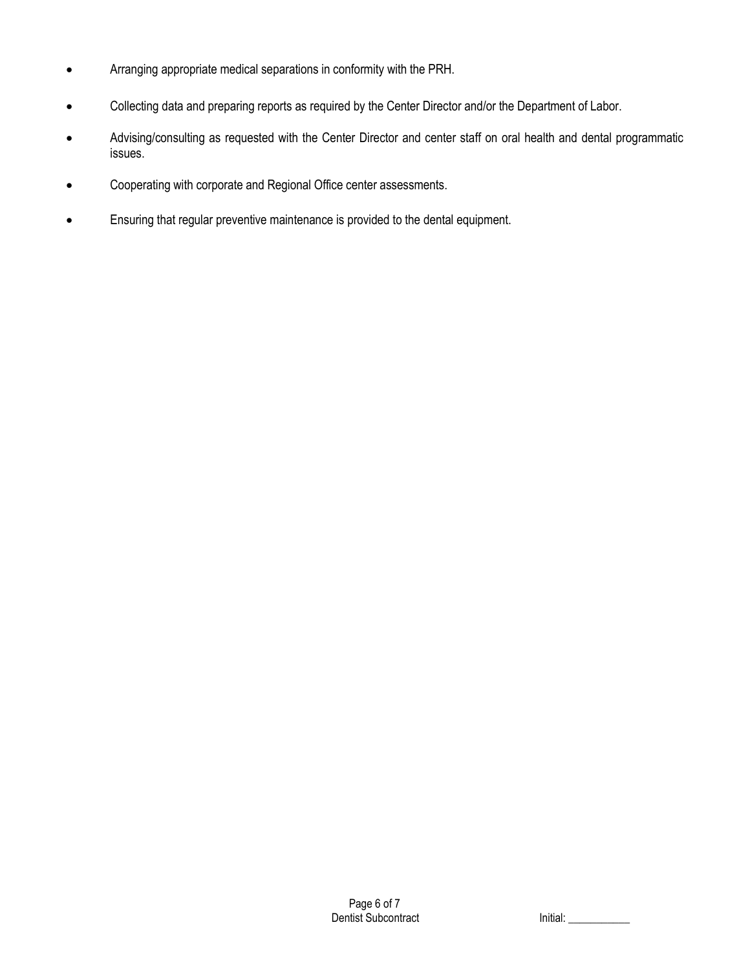- Arranging appropriate medical separations in conformity with the PRH.
- Collecting data and preparing reports as required by the Center Director and/or the Department of Labor.
- Advising/consulting as requested with the Center Director and center staff on oral health and dental programmatic issues.
- Cooperating with corporate and Regional Office center assessments.
- Ensuring that regular preventive maintenance is provided to the dental equipment.